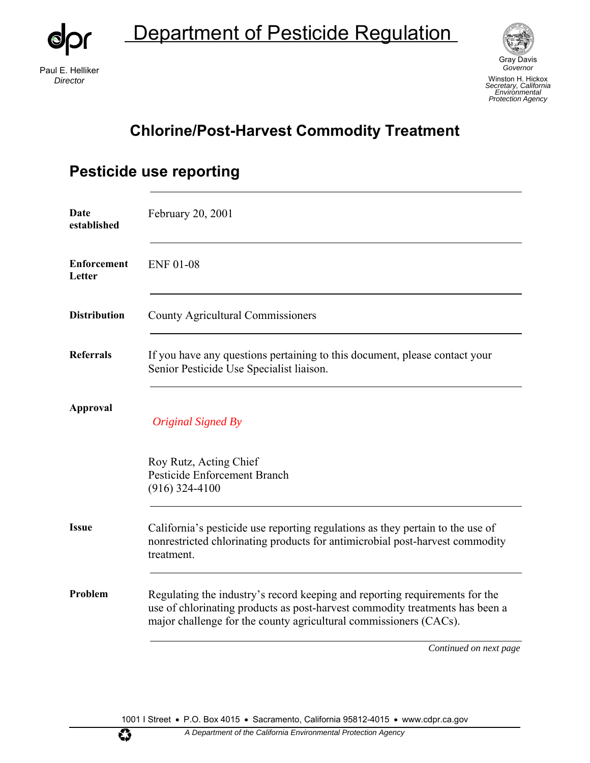Department of Pesticide Regulation

Paul E. Helliker *Director*

 $\circledcirc$ 



Gray Davis *Governor*  Winston H. Hickox *Secretary, California Environmental Protection Agency*

#### **Chlorine/Post-Harvest Commodity Treatment**

| Date<br>established          | February 20, 2001                                                                                                                                                                                                                |
|------------------------------|----------------------------------------------------------------------------------------------------------------------------------------------------------------------------------------------------------------------------------|
| <b>Enforcement</b><br>Letter | <b>ENF 01-08</b>                                                                                                                                                                                                                 |
| <b>Distribution</b>          | <b>County Agricultural Commissioners</b>                                                                                                                                                                                         |
| <b>Referrals</b>             | If you have any questions pertaining to this document, please contact your<br>Senior Pesticide Use Specialist liaison.                                                                                                           |
| <b>Approval</b>              | Original Signed By                                                                                                                                                                                                               |
|                              | Roy Rutz, Acting Chief<br>Pesticide Enforcement Branch<br>$(916)$ 324-4100                                                                                                                                                       |
| <b>Issue</b>                 | California's pesticide use reporting regulations as they pertain to the use of<br>nonrestricted chlorinating products for antimicrobial post-harvest commodity<br>treatment.                                                     |
| Problem                      | Regulating the industry's record keeping and reporting requirements for the<br>use of chlorinating products as post-harvest commodity treatments has been a<br>major challenge for the county agricultural commissioners (CACs). |
|                              | Continued on next page                                                                                                                                                                                                           |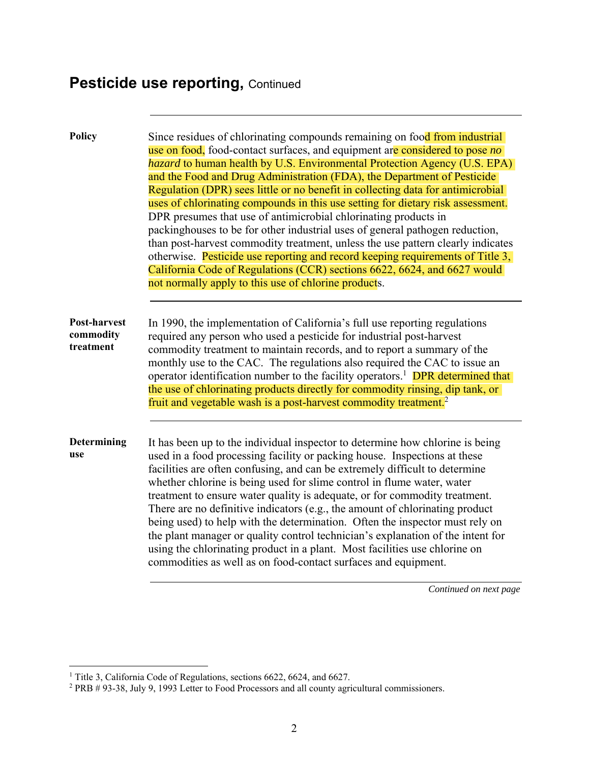| <b>Policy</b>                                 | Since residues of chlorinating compounds remaining on food from industrial<br>use on food, food-contact surfaces, and equipment are considered to pose no<br><i>hazard</i> to human health by U.S. Environmental Protection Agency (U.S. EPA)<br>and the Food and Drug Administration (FDA), the Department of Pesticide<br>Regulation (DPR) sees little or no benefit in collecting data for antimicrobial<br>uses of chlorinating compounds in this use setting for dietary risk assessment.<br>DPR presumes that use of antimicrobial chlorinating products in<br>packinghouses to be for other industrial uses of general pathogen reduction,<br>than post-harvest commodity treatment, unless the use pattern clearly indicates<br>otherwise. Pesticide use reporting and record keeping requirements of Title 3,<br>California Code of Regulations (CCR) sections 6622, 6624, and 6627 would<br>not normally apply to this use of chlorine products. |
|-----------------------------------------------|------------------------------------------------------------------------------------------------------------------------------------------------------------------------------------------------------------------------------------------------------------------------------------------------------------------------------------------------------------------------------------------------------------------------------------------------------------------------------------------------------------------------------------------------------------------------------------------------------------------------------------------------------------------------------------------------------------------------------------------------------------------------------------------------------------------------------------------------------------------------------------------------------------------------------------------------------------|
| <b>Post-harvest</b><br>commodity<br>treatment | In 1990, the implementation of California's full use reporting regulations<br>required any person who used a pesticide for industrial post-harvest<br>commodity treatment to maintain records, and to report a summary of the<br>monthly use to the CAC. The regulations also required the CAC to issue an<br>operator identification number to the facility operators. <sup>1</sup> DPR determined that<br>the use of chlorinating products directly for commodity rinsing, dip tank, or<br>fruit and vegetable wash is a post-harvest commodity treatment. <sup>2</sup>                                                                                                                                                                                                                                                                                                                                                                                  |
| Determining<br>use                            | It has been up to the individual inspector to determine how chlorine is being<br>used in a food processing facility or packing house. Inspections at these<br>facilities are often confusing, and can be extremely difficult to determine<br>whether chlorine is being used for slime control in flume water, water<br>treatment to ensure water quality is adequate, or for commodity treatment.<br>There are no definitive indicators (e.g., the amount of chlorinating product<br>being used) to help with the determination. Often the inspector must rely on<br>the plant manager or quality control technician's explanation of the intent for<br>using the chlorinating product in a plant. Most facilities use chlorine on<br>commodities as well as on food-contact surfaces and equipment.                                                                                                                                                       |

<sup>&</sup>lt;sup>1</sup> Title 3, California Code of Regulations, sections 6622, 6624, and 6627.<br><sup>2</sup> PRB # 93-38, July 9, 1993 Letter to Food Processors and all county agricultural commissioners.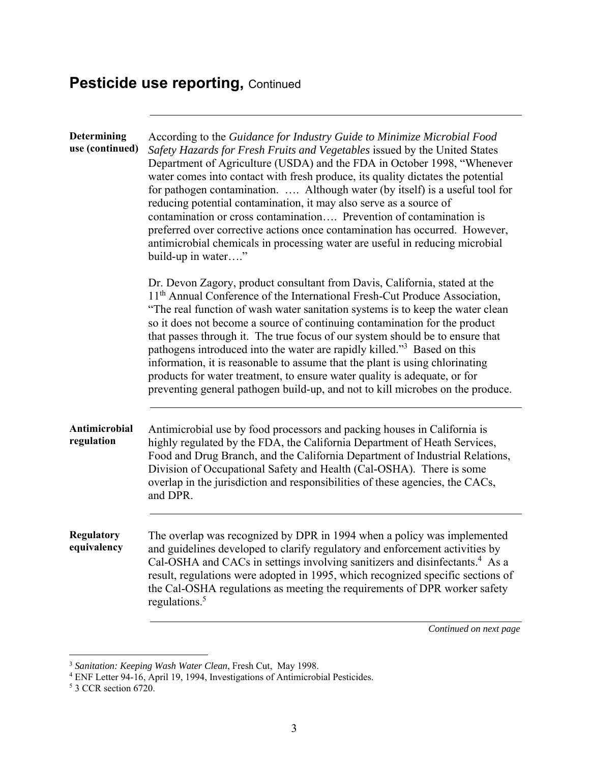| Determining<br>use (continued)   | According to the Guidance for Industry Guide to Minimize Microbial Food<br>Safety Hazards for Fresh Fruits and Vegetables issued by the United States<br>Department of Agriculture (USDA) and the FDA in October 1998, "Whenever<br>water comes into contact with fresh produce, its quality dictates the potential<br>for pathogen contamination.  Although water (by itself) is a useful tool for<br>reducing potential contamination, it may also serve as a source of<br>contamination or cross contamination Prevention of contamination is<br>preferred over corrective actions once contamination has occurred. However,<br>antimicrobial chemicals in processing water are useful in reducing microbial<br>build-up in water"                       |
|----------------------------------|-------------------------------------------------------------------------------------------------------------------------------------------------------------------------------------------------------------------------------------------------------------------------------------------------------------------------------------------------------------------------------------------------------------------------------------------------------------------------------------------------------------------------------------------------------------------------------------------------------------------------------------------------------------------------------------------------------------------------------------------------------------|
|                                  | Dr. Devon Zagory, product consultant from Davis, California, stated at the<br>11 <sup>th</sup> Annual Conference of the International Fresh-Cut Produce Association,<br>"The real function of wash water sanitation systems is to keep the water clean<br>so it does not become a source of continuing contamination for the product<br>that passes through it. The true focus of our system should be to ensure that<br>pathogens introduced into the water are rapidly killed." <sup>3</sup> Based on this<br>information, it is reasonable to assume that the plant is using chlorinating<br>products for water treatment, to ensure water quality is adequate, or for<br>preventing general pathogen build-up, and not to kill microbes on the produce. |
| Antimicrobial<br>regulation      | Antimicrobial use by food processors and packing houses in California is<br>highly regulated by the FDA, the California Department of Heath Services,<br>Food and Drug Branch, and the California Department of Industrial Relations,<br>Division of Occupational Safety and Health (Cal-OSHA). There is some<br>overlap in the jurisdiction and responsibilities of these agencies, the CACs,<br>and DPR.                                                                                                                                                                                                                                                                                                                                                  |
| <b>Regulatory</b><br>equivalency | The overlap was recognized by DPR in 1994 when a policy was implemented<br>and guidelines developed to clarify regulatory and enforcement activities by<br>Cal-OSHA and CACs in settings involving sanitizers and disinfectants. <sup>4</sup> As a<br>result, regulations were adopted in 1995, which recognized specific sections of<br>the Cal-OSHA regulations as meeting the requirements of DPR worker safety<br>regulations. <sup>5</sup>                                                                                                                                                                                                                                                                                                             |

<sup>3</sup> *Sanitation: Keeping Wash Water Clean*, Fresh Cut, May 1998.

<sup>&</sup>lt;sup>4</sup> ENF Letter 94-16, April 19, 1994, Investigations of Antimicrobial Pesticides.<br><sup>5</sup> 3 CCR section 6720.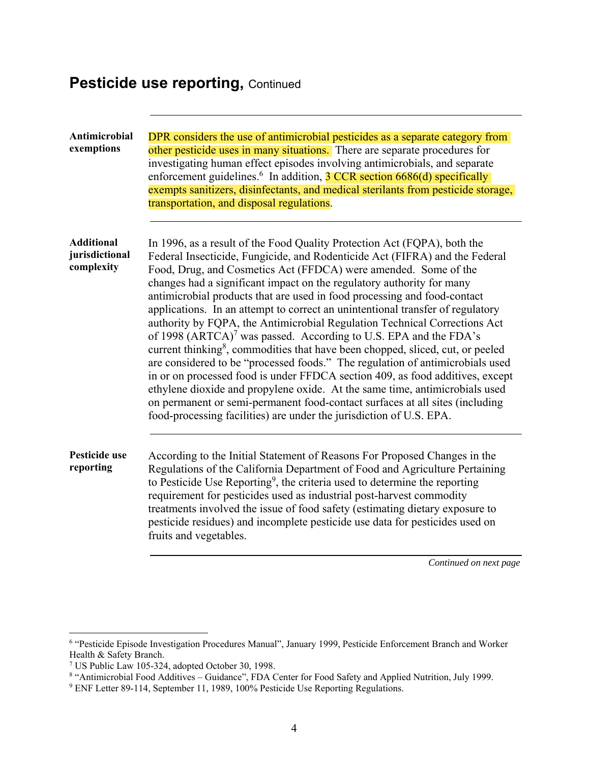| Antimicrobial<br>exemptions                       | DPR considers the use of antimicrobial pesticides as a separate category from<br>other pesticide uses in many situations. There are separate procedures for<br>investigating human effect episodes involving antimicrobials, and separate<br>enforcement guidelines. <sup>6</sup> In addition, 3 CCR section 6686(d) specifically<br>exempts sanitizers, disinfectants, and medical sterilants from pesticide storage,<br>transportation, and disposal regulations.                                                                                                                                                                                                                                                                                                                                                                                                                                                                                                                                                                                                                                                                  |
|---------------------------------------------------|--------------------------------------------------------------------------------------------------------------------------------------------------------------------------------------------------------------------------------------------------------------------------------------------------------------------------------------------------------------------------------------------------------------------------------------------------------------------------------------------------------------------------------------------------------------------------------------------------------------------------------------------------------------------------------------------------------------------------------------------------------------------------------------------------------------------------------------------------------------------------------------------------------------------------------------------------------------------------------------------------------------------------------------------------------------------------------------------------------------------------------------|
| <b>Additional</b><br>jurisdictional<br>complexity | In 1996, as a result of the Food Quality Protection Act (FQPA), both the<br>Federal Insecticide, Fungicide, and Rodenticide Act (FIFRA) and the Federal<br>Food, Drug, and Cosmetics Act (FFDCA) were amended. Some of the<br>changes had a significant impact on the regulatory authority for many<br>antimicrobial products that are used in food processing and food-contact<br>applications. In an attempt to correct an unintentional transfer of regulatory<br>authority by FQPA, the Antimicrobial Regulation Technical Corrections Act<br>of 1998 (ARTCA) <sup>7</sup> was passed. According to U.S. EPA and the FDA's<br>current thinking <sup>8</sup> , commodities that have been chopped, sliced, cut, or peeled<br>are considered to be "processed foods." The regulation of antimicrobials used<br>in or on processed food is under FFDCA section 409, as food additives, except<br>ethylene dioxide and propylene oxide. At the same time, antimicrobials used<br>on permanent or semi-permanent food-contact surfaces at all sites (including<br>food-processing facilities) are under the jurisdiction of U.S. EPA. |
| Pesticide use<br>reporting                        | According to the Initial Statement of Reasons For Proposed Changes in the<br>Regulations of the California Department of Food and Agriculture Pertaining<br>to Pesticide Use Reporting <sup>9</sup> , the criteria used to determine the reporting<br>requirement for pesticides used as industrial post-harvest commodity<br>treatments involved the issue of food safety (estimating dietary exposure to<br>pesticide residues) and incomplete pesticide use data for pesticides used on<br>fruits and vegetables.                                                                                                                                                                                                                                                                                                                                                                                                                                                                                                                                                                                                                 |

<sup>6</sup> "Pesticide Episode Investigation Procedures Manual", January 1999, Pesticide Enforcement Branch and Worker Health & Safety Branch.

<sup>&</sup>lt;sup>7</sup> US Public Law 105-324, adopted October 30, 1998.<br><sup>8</sup> "Antimicrobial Food Additives – Guidance", FDA Center for Food Safety and Applied Nutrition, July 1999.<br><sup>9</sup> ENF Letter 89-114, September 11, 1989, 100% Pesticide Use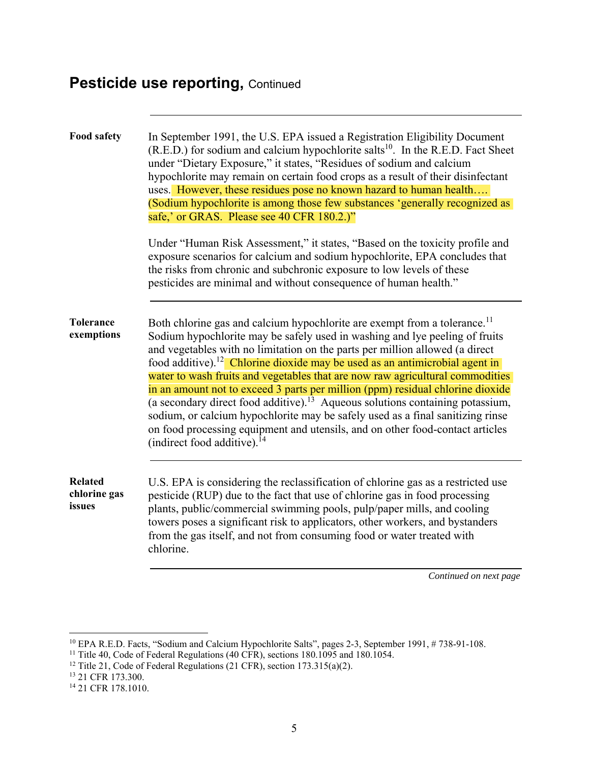| <b>Food safety</b>                       | In September 1991, the U.S. EPA issued a Registration Eligibility Document<br>(R.E.D.) for sodium and calcium hypochlorite salts <sup>10</sup> . In the R.E.D. Fact Sheet<br>under "Dietary Exposure," it states, "Residues of sodium and calcium<br>hypochlorite may remain on certain food crops as a result of their disinfectant<br>uses. However, these residues pose no known hazard to human health<br>(Sodium hypochlorite is among those few substances 'generally recognized as<br>safe,' or GRAS. Please see 40 CFR 180.2.)"<br>Under "Human Risk Assessment," it states, "Based on the toxicity profile and<br>exposure scenarios for calcium and sodium hypochlorite, EPA concludes that<br>the risks from chronic and subchronic exposure to low levels of these<br>pesticides are minimal and without consequence of human health." |
|------------------------------------------|----------------------------------------------------------------------------------------------------------------------------------------------------------------------------------------------------------------------------------------------------------------------------------------------------------------------------------------------------------------------------------------------------------------------------------------------------------------------------------------------------------------------------------------------------------------------------------------------------------------------------------------------------------------------------------------------------------------------------------------------------------------------------------------------------------------------------------------------------|
| <b>Tolerance</b><br>exemptions           | Both chlorine gas and calcium hypochlorite are exempt from a tolerance. <sup>11</sup><br>Sodium hypochlorite may be safely used in washing and lye peeling of fruits<br>and vegetables with no limitation on the parts per million allowed (a direct<br>food additive). <sup>12</sup> Chlorine dioxide may be used as an antimicrobial agent in<br>water to wash fruits and vegetables that are now raw agricultural commodities<br>in an amount not to exceed 3 parts per million (ppm) residual chlorine dioxide<br>(a secondary direct food additive). <sup>13</sup> Aqueous solutions containing potassium,<br>sodium, or calcium hypochlorite may be safely used as a final sanitizing rinse<br>on food processing equipment and utensils, and on other food-contact articles<br>(indirect food additive). <sup>14</sup>                      |
| <b>Related</b><br>chlorine gas<br>issues | U.S. EPA is considering the reclassification of chlorine gas as a restricted use<br>pesticide (RUP) due to the fact that use of chlorine gas in food processing<br>plants, public/commercial swimming pools, pulp/paper mills, and cooling<br>towers poses a significant risk to applicators, other workers, and bystanders<br>from the gas itself, and not from consuming food or water treated with<br>chlorine.                                                                                                                                                                                                                                                                                                                                                                                                                                 |

<sup>10</sup> EPA R.E.D. Facts, "Sodium and Calcium Hypochlorite Salts", pages 2-3, September 1991, # 738-91-108.

<sup>&</sup>lt;sup>11</sup> Title 40, Code of Federal Regulations (40 CFR), sections 180.1095 and 180.1054.

<sup>&</sup>lt;sup>12</sup> Title 21, Code of Federal Regulations (21 CFR), section  $173.315(a)(2)$ .

<sup>13 21</sup> CFR 173.300.

<sup>14 21</sup> CFR 178.1010.